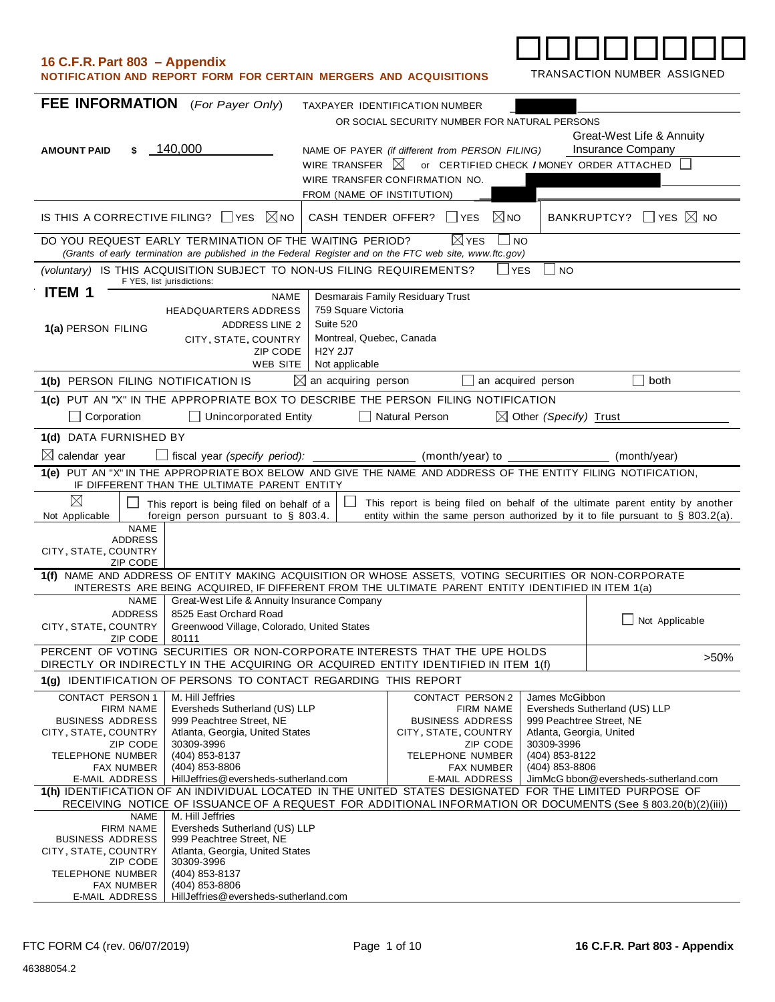| 16 C.F.R. Part 803 - Appendix<br>NOTIFICATION AND REPORT FORM FOR CERTAIN MERGERS AND ACQUISITIONS                                                                                                                           |                                                                                  |                                  |                                                 |                                        | TRANSACTION NUMBER ASSIGNED                                                                                                                                        |
|------------------------------------------------------------------------------------------------------------------------------------------------------------------------------------------------------------------------------|----------------------------------------------------------------------------------|----------------------------------|-------------------------------------------------|----------------------------------------|--------------------------------------------------------------------------------------------------------------------------------------------------------------------|
| <b>FEE INFORMATION</b> (For Payer Only)                                                                                                                                                                                      |                                                                                  | TAXPAYER IDENTIFICATION NUMBER   |                                                 |                                        |                                                                                                                                                                    |
|                                                                                                                                                                                                                              |                                                                                  |                                  | OR SOCIAL SECURITY NUMBER FOR NATURAL PERSONS   |                                        |                                                                                                                                                                    |
|                                                                                                                                                                                                                              |                                                                                  |                                  |                                                 |                                        | Great-West Life & Annuity                                                                                                                                          |
| 140,000<br><b>AMOUNT PAID</b><br>\$                                                                                                                                                                                          |                                                                                  | WIRE TRANSFER $\boxtimes$        | NAME OF PAYER (if different from PERSON FILING) |                                        | Insurance Company<br>or CERTIFIED CHECK / MONEY ORDER ATTACHED                                                                                                     |
|                                                                                                                                                                                                                              |                                                                                  | WIRE TRANSFER CONFIRMATION NO.   |                                                 |                                        |                                                                                                                                                                    |
|                                                                                                                                                                                                                              |                                                                                  | FROM (NAME OF INSTITUTION)       |                                                 |                                        |                                                                                                                                                                    |
| IS THIS A CORRECTIVE FILING? $\Box$ YES                                                                                                                                                                                      | $\boxtimes$ NO                                                                   | CASH TENDER OFFER? UYES          | $\boxtimes$ NO                                  |                                        | BANKRUPTCY? $\Box$ YES $\boxtimes$ NO                                                                                                                              |
| DO YOU REQUEST EARLY TERMINATION OF THE WAITING PERIOD?<br>(Grants of early termination are published in the Federal Register and on the FTC web site, www.ftc.gov)                                                          |                                                                                  |                                  | i⊠ YES<br>$\sqcup$ NO                           |                                        |                                                                                                                                                                    |
| (voluntary) IS THIS ACQUISITION SUBJECT TO NON-US FILING REQUIREMENTS?<br>F YES, list jurisdictions:                                                                                                                         |                                                                                  |                                  | l Iyes                                          | $\overline{\phantom{a}}$ NO            |                                                                                                                                                                    |
| <b>ITEM 1</b>                                                                                                                                                                                                                | NAME                                                                             | Desmarais Family Residuary Trust |                                                 |                                        |                                                                                                                                                                    |
|                                                                                                                                                                                                                              | <b>HEADQUARTERS ADDRESS</b>                                                      | 759 Square Victoria              |                                                 |                                        |                                                                                                                                                                    |
| 1(a) PERSON FILING                                                                                                                                                                                                           | Suite 520<br><b>ADDRESS LINE 2</b><br>CITY, STATE, COUNTRY                       | Montreal, Quebec, Canada         |                                                 |                                        |                                                                                                                                                                    |
|                                                                                                                                                                                                                              | ZIP CODE<br><b>H2Y 2J7</b>                                                       |                                  |                                                 |                                        |                                                                                                                                                                    |
|                                                                                                                                                                                                                              | WEB SITE<br>Not applicable                                                       | $\boxtimes$ an acquiring person  | $\mathsf{L}$                                    | an acquired person                     | both                                                                                                                                                               |
| 1(b) PERSON FILING NOTIFICATION IS<br>1(c) PUT AN "X" IN THE APPROPRIATE BOX TO DESCRIBE THE PERSON FILING NOTIFICATION                                                                                                      |                                                                                  |                                  |                                                 |                                        |                                                                                                                                                                    |
| $\Box$ Corporation                                                                                                                                                                                                           | $\Box$ Unincorporated Entity                                                     | $\Box$ Natural Person            |                                                 | $\boxtimes$ Other (Specify) Trust      |                                                                                                                                                                    |
| 1(d) DATA FURNISHED BY                                                                                                                                                                                                       |                                                                                  |                                  |                                                 |                                        |                                                                                                                                                                    |
| $\boxtimes$ calendar year                                                                                                                                                                                                    | $\Box$ fiscal year (specify period): $\Box$                                      |                                  | (month/year) to                                 |                                        | (month/year)                                                                                                                                                       |
| 1(e) PUT AN "X" IN THE APPROPRIATE BOX BELOW AND GIVE THE NAME AND ADDRESS OF THE ENTITY FILING NOTIFICATION,                                                                                                                |                                                                                  |                                  |                                                 |                                        |                                                                                                                                                                    |
| IF DIFFERENT THAN THE ULTIMATE PARENT ENTITY                                                                                                                                                                                 |                                                                                  |                                  |                                                 |                                        |                                                                                                                                                                    |
| $\boxtimes$                                                                                                                                                                                                                  | This report is being filed on behalf of a<br>foreign person pursuant to § 803.4. |                                  |                                                 |                                        | This report is being filed on behalf of the ultimate parent entity by another<br>entity within the same person authorized by it to file pursuant to $\S$ 803.2(a). |
| Not Applicable<br><b>NAME</b>                                                                                                                                                                                                |                                                                                  |                                  |                                                 |                                        |                                                                                                                                                                    |
| <b>ADDRESS</b><br>CITY, STATE, COUNTRY                                                                                                                                                                                       |                                                                                  |                                  |                                                 |                                        |                                                                                                                                                                    |
| <b>ZIP CODE</b>                                                                                                                                                                                                              |                                                                                  |                                  |                                                 |                                        |                                                                                                                                                                    |
| 1(f) NAME AND ADDRESS OF ENTITY MAKING ACQUISITION OR WHOSE ASSETS, VOTING SECURITIES OR NON-CORPORATE<br>INTERESTS ARE BEING ACQUIRED, IF DIFFERENT FROM THE ULTIMATE PARENT ENTITY IDENTIFIED IN ITEM 1(a)                 |                                                                                  |                                  |                                                 |                                        |                                                                                                                                                                    |
|                                                                                                                                                                                                                              | NAME Great-West Life & Annuity Insurance Company                                 |                                  |                                                 |                                        |                                                                                                                                                                    |
| <b>ADDRESS</b><br>CITY, STATE, COUNTRY                                                                                                                                                                                       | 8525 East Orchard Road<br>Greenwood Village, Colorado, United States             |                                  |                                                 |                                        | $\Box$ Not Applicable                                                                                                                                              |
| <b>ZIP CODE</b><br>80111                                                                                                                                                                                                     |                                                                                  |                                  |                                                 |                                        |                                                                                                                                                                    |
| PERCENT OF VOTING SECURITIES OR NON-CORPORATE INTERESTS THAT THE UPE HOLDS<br>DIRECTLY OR INDIRECTLY IN THE ACQUIRING OR ACQUIRED ENTITY IDENTIFIED IN ITEM 1(f)                                                             |                                                                                  |                                  |                                                 |                                        | $>50\%$                                                                                                                                                            |
| 1(g) IDENTIFICATION OF PERSONS TO CONTACT REGARDING THIS REPORT                                                                                                                                                              |                                                                                  |                                  |                                                 |                                        |                                                                                                                                                                    |
| M. Hill Jeffries<br>CONTACT PERSON 1<br><b>FIRM NAME</b>                                                                                                                                                                     |                                                                                  |                                  | CONTACT PERSON 2<br><b>FIRM NAME</b>            | James McGibbon                         | Eversheds Sutherland (US) LLP                                                                                                                                      |
| <b>BUSINESS ADDRESS</b>                                                                                                                                                                                                      | Eversheds Sutherland (US) LLP<br>999 Peachtree Street, NE                        |                                  | <b>BUSINESS ADDRESS</b>                         | 999 Peachtree Street, NE               |                                                                                                                                                                    |
| CITY, STATE, COUNTRY<br>ZIP CODE<br>30309-3996                                                                                                                                                                               | Atlanta, Georgia, United States                                                  |                                  | CITY, STATE, COUNTRY<br><b>ZIP CODE</b>         | Atlanta, Georgia, United<br>30309-3996 |                                                                                                                                                                    |
| (404) 853-8137<br><b>TELEPHONE NUMBER</b>                                                                                                                                                                                    |                                                                                  |                                  | TELEPHONE NUMBER                                | (404) 853-8122                         |                                                                                                                                                                    |
| (404) 853-8806<br><b>FAX NUMBER</b>                                                                                                                                                                                          |                                                                                  |                                  | <b>FAX NUMBER</b>                               | (404) 853-8806                         |                                                                                                                                                                    |
| HillJeffries@eversheds-sutherland.com<br>JimMcG bbon@eversheds-sutherland.com<br>E-MAIL ADDRESS<br>E-MAIL ADDRESS<br>1(h) IDENTIFICATION OF AN INDIVIDUAL LOCATED IN THE UNITED STATES DESIGNATED FOR THE LIMITED PURPOSE OF |                                                                                  |                                  |                                                 |                                        |                                                                                                                                                                    |
| RECEIVING NOTICE OF ISSUANCE OF A REQUEST FOR ADDITIONAL INFORMATION OR DOCUMENTS (See § 803.20(b)(2)(iii))<br>M. Hill Jeffries<br><b>NAME</b>                                                                               |                                                                                  |                                  |                                                 |                                        |                                                                                                                                                                    |
| FIRM NAME                                                                                                                                                                                                                    | Eversheds Sutherland (US) LLP                                                    |                                  |                                                 |                                        |                                                                                                                                                                    |
| <b>BUSINESS ADDRESS</b><br>CITY, STATE, COUNTRY                                                                                                                                                                              | 999 Peachtree Street, NE<br>Atlanta, Georgia, United States                      |                                  |                                                 |                                        |                                                                                                                                                                    |
| 30309-3996<br>ZIP CODE                                                                                                                                                                                                       |                                                                                  |                                  |                                                 |                                        |                                                                                                                                                                    |
| <b>TELEPHONE NUMBER</b><br>(404) 853-8137<br>(404) 853-8806<br>FAX NUMBER                                                                                                                                                    |                                                                                  |                                  |                                                 |                                        |                                                                                                                                                                    |
| <b>E-MAIL ADDRESS</b>                                                                                                                                                                                                        | Hill Jeffries @ eversheds-sutherland.com                                         |                                  |                                                 |                                        |                                                                                                                                                                    |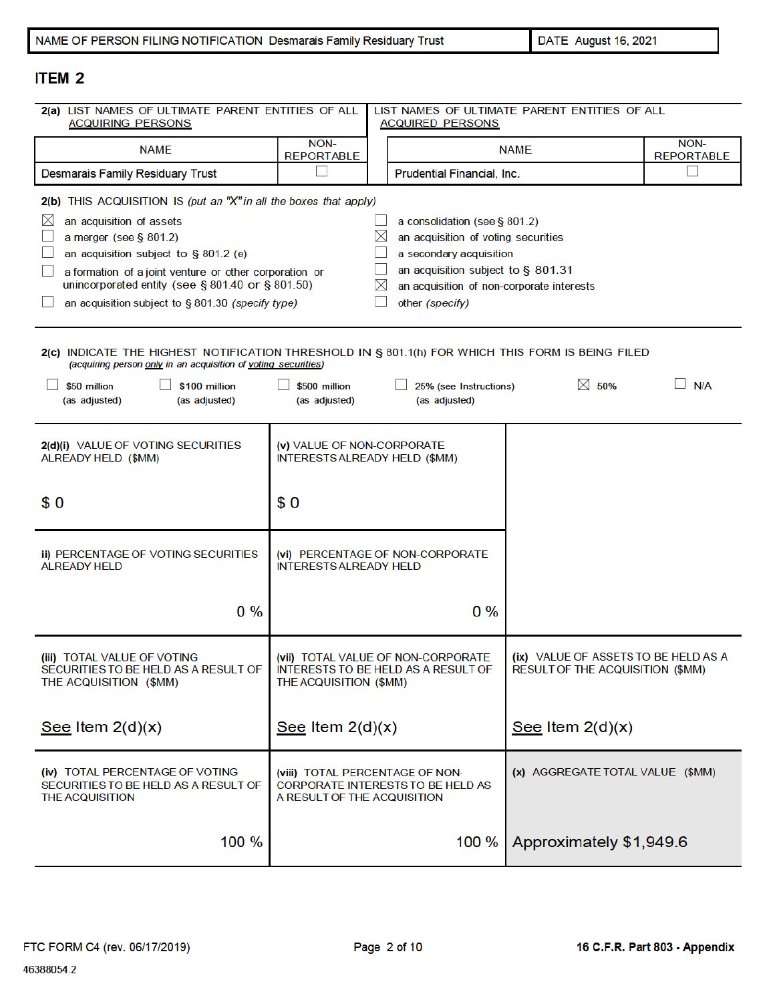DATE August 16, 2021

# **ITEM 2**

| 2(a) LIST NAMES OF ULTIMATE PARENT ENTITIES OF ALL<br><b>ACQUIRING PERSONS</b>                                                                                                                                                                                                                                                                       | <b>ACQUIRED PERSONS</b>                                                                                                                                                                                                          | LIST NAMES OF ULTIMATE PARENT ENTITIES OF ALL                             |                                                                          |                           |
|------------------------------------------------------------------------------------------------------------------------------------------------------------------------------------------------------------------------------------------------------------------------------------------------------------------------------------------------------|----------------------------------------------------------------------------------------------------------------------------------------------------------------------------------------------------------------------------------|---------------------------------------------------------------------------|--------------------------------------------------------------------------|---------------------------|
| <b>NAME</b>                                                                                                                                                                                                                                                                                                                                          | NON-<br><b>REPORTABLE</b>                                                                                                                                                                                                        | <b>NAME</b>                                                               |                                                                          | NON-<br><b>REPORTABLE</b> |
| <b>Desmarais Family Residuary Trust</b>                                                                                                                                                                                                                                                                                                              |                                                                                                                                                                                                                                  | Prudential Financial, Inc.                                                |                                                                          |                           |
| 2(b) THIS ACQUISITION IS (put an "X" in all the boxes that apply)<br>$\boxtimes$<br>an acquisition of assets<br>a merger (see $§$ 801.2)<br>an acquisition subject to § 801.2 (e)<br>a formation of a joint venture or other corporation or<br>unincorporated entity (see § 801.40 or § 801.50)<br>an acquisition subject to § 801.30 (specify type) | a consolidation (see § 801.2)<br>$\times$<br>an acquisition of voting securities<br>a secondary acquisition<br>an acquisition subject to § 801.31<br>$\boxtimes$<br>an acquisition of non-corporate interests<br>other (specify) |                                                                           |                                                                          |                           |
| 2(c) INDICATE THE HIGHEST NOTIFICATION THRESHOLD IN § 801.1(h) FOR WHICH THIS FORM IS BEING FILED<br>(acquiring person only in an acquisition of voting securities)<br>$\boxtimes$ 50%<br>N/A<br>\$50 million<br>\$100 million<br>\$500 million<br>25% (see Instructions)<br>(as adjusted)<br>(as adjusted)<br>(as adjusted)<br>(as adjusted)        |                                                                                                                                                                                                                                  |                                                                           |                                                                          |                           |
| 2(d)(i) VALUE OF VOTING SECURITIES<br>ALREADY HELD (\$MM)                                                                                                                                                                                                                                                                                            | (v) VALUE OF NON-CORPORATE                                                                                                                                                                                                       | <b>INTERESTS ALREADY HELD (\$MM)</b>                                      |                                                                          |                           |
| \$0                                                                                                                                                                                                                                                                                                                                                  | \$0                                                                                                                                                                                                                              |                                                                           |                                                                          |                           |
| ii) PERCENTAGE OF VOTING SECURITIES<br><b>ALREADY HELD</b>                                                                                                                                                                                                                                                                                           | (vi) PERCENTAGE OF NON-CORPORATE<br><b>INTERESTS ALREADY HELD</b>                                                                                                                                                                |                                                                           |                                                                          |                           |
| $0\%$                                                                                                                                                                                                                                                                                                                                                |                                                                                                                                                                                                                                  | $0\%$                                                                     |                                                                          |                           |
| (iii) TOTAL VALUE OF VOTING<br>SECURITIES TO BE HELD AS A RESULT OF<br>THE ACQUISITION (\$MM)                                                                                                                                                                                                                                                        | THE ACQUISITION (\$MM)                                                                                                                                                                                                           | (vii) TOTAL VALUE OF NON-CORPORATE<br>INTERESTS TO BE HELD AS A RESULT OF | (ix) VALUE OF ASSETS TO BE HELD AS A<br>RESULT OF THE ACQUISITION (\$MM) |                           |
| See Item $2(d)(x)$                                                                                                                                                                                                                                                                                                                                   | See Item $2(d)(x)$                                                                                                                                                                                                               |                                                                           | See Item $2(d)(x)$                                                       |                           |
| (iv) TOTAL PERCENTAGE OF VOTING<br>SECURITIES TO BE HELD AS A RESULT OF<br>THE ACQUISITION                                                                                                                                                                                                                                                           | A RESULT OF THE ACQUISITION                                                                                                                                                                                                      | (viii) TOTAL PERCENTAGE OF NON-<br>CORPORATE INTERESTS TO BE HELD AS      | (x) AGGREGATE TOTAL VALUE (\$MM)                                         |                           |
| 100 %                                                                                                                                                                                                                                                                                                                                                |                                                                                                                                                                                                                                  | 100 %                                                                     | Approximately \$1,949.6                                                  |                           |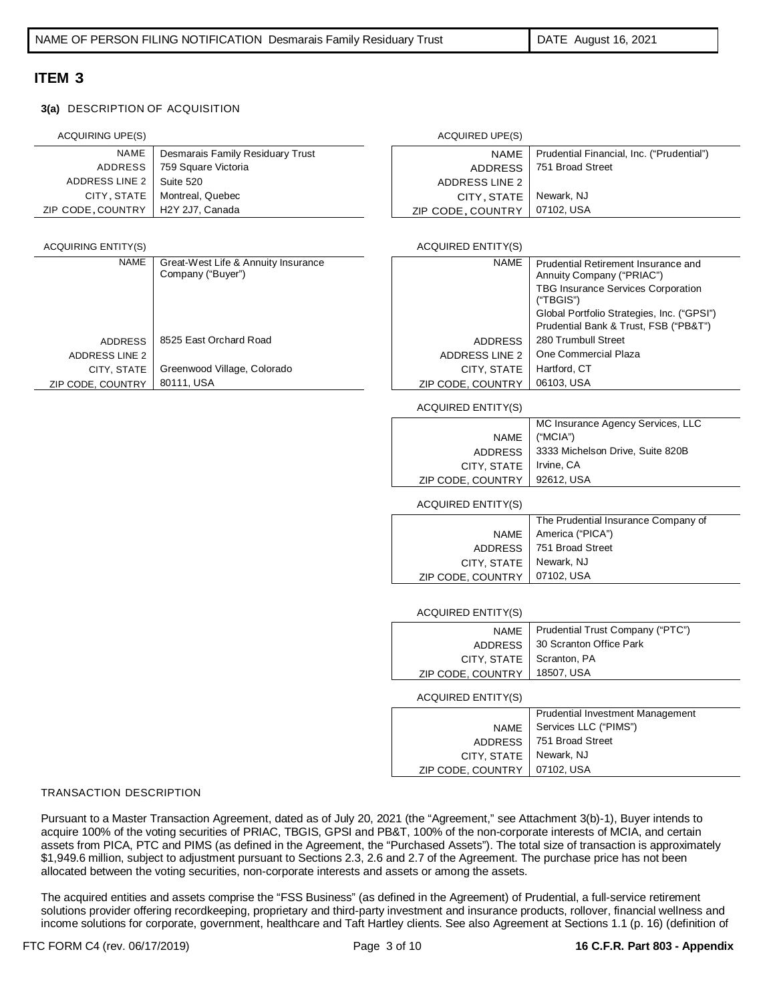### **3(a)** DESCRIPTION OF ACQUISITION

| ACQUIRING UPE(S)                    |                                  | ACQUIRED UPE(S)   |                                           |
|-------------------------------------|----------------------------------|-------------------|-------------------------------------------|
| NAME                                | Desmarais Family Residuary Trust | <b>NAME</b>       | Prudential Financial, Inc. ("Prudential") |
| ADDRESS                             | 759 Square Victoria              | <b>ADDRESS</b>    | 751 Broad Street                          |
| ADDRESS LINE 2   Suite 520          |                                  | ADDRESS LINE 2    |                                           |
| CITY, STATE                         | Montreal, Quebec                 | CITY, STATE       | Newark, NJ                                |
| ZIP CODE, COUNTRY   H2Y 2J7, Canada |                                  | ZIP CODE, COUNTRY | 07102. USA                                |

### **ACQUIRING ENTITY(S)**

| <b>NAME</b>       | Great-West Life & Annuity Insurance<br>Company ("Buyer") | <b>NAME</b>       | <b>Prudential Retirement I</b><br>Annuity Company ("PR |
|-------------------|----------------------------------------------------------|-------------------|--------------------------------------------------------|
|                   |                                                          |                   | <b>TBG Insurance Service</b><br>("TBGIS")              |
|                   |                                                          |                   | <b>Global Portfolio Strateg</b>                        |
|                   |                                                          |                   | <b>Prudential Bank &amp; Trus</b>                      |
| <b>ADDRESS</b>    | 8525 East Orchard Road                                   | <b>ADDRESS</b>    | 280 Trumbull Street                                    |
| ADDRESS LINE 2    |                                                          | ADDRESS LINE 2    | One Commercial Plaza                                   |
| CITY, STATE       | Greenwood Village, Colorado                              | CITY, STATE       | Hartford, CT                                           |
| ZIP CODE, COUNTRY | 80111, USA                                               | ZIP CODE, COUNTRY | 06103, USA                                             |

| CITY. STATE               | Newark, NJ                                                                          |
|---------------------------|-------------------------------------------------------------------------------------|
| ZIP CODE, COUNTRY         | 07102, USA                                                                          |
|                           |                                                                                     |
| <b>ACQUIRED ENTITY(S)</b> |                                                                                     |
| <b>NAME</b>               | Prudential Retirement Insurance and<br>Annuity Company ("PRIAC")                    |
|                           | <b>TBG Insurance Services Corporation</b><br>("TBGIS")                              |
|                           | Global Portfolio Strategies, Inc. ("GPSI")<br>Prudential Bank & Trust, FSB ("PB&T") |
| <b>ADDRESS</b>            | 280 Trumbull Street                                                                 |
| <b>ADDRESS LINE 2</b>     | One Commercial Plaza                                                                |
| CITY, STATE               | Hartford, CT                                                                        |
| ZIP CODE, COUNTRY         | 06103, USA                                                                          |

### ACQUIRED ENTITY(S)

|                          | MC Insurance Agency Services, LLC          |
|--------------------------|--------------------------------------------|
| NAME                     | ("MCIA")                                   |
|                          | ADDRESS   3333 Michelson Drive, Suite 820B |
| CITY, STATE   Irvine, CA |                                            |
| ZIP CODE, COUNTRY        | 92612. USA                                 |

ACQUIRED ENTITY(S)

|                                | The Prudential Insurance Company of |
|--------------------------------|-------------------------------------|
|                                | NAME   America ("PICA")             |
|                                | ADDRESS   751 Broad Street          |
| CITY, STATE   Newark, NJ       |                                     |
| ZIP CODE, COUNTRY   07102, USA |                                     |
|                                |                                     |

ACQUIRED ENTITY(S)

| <b>NAME</b>               | Prudential Trust Company ("PTC")        |
|---------------------------|-----------------------------------------|
| <b>ADDRESS</b>            | 30 Scranton Office Park                 |
| CITY, STATE               | Scranton, PA                            |
| ZIP CODE, COUNTRY         | 18507, USA                              |
| <b>ACQUIRED ENTITY(S)</b> |                                         |
|                           | <b>Prudential Investment Management</b> |
| <b>NAME</b>               | Services LLC ("PIMS")                   |
| <b>ADDRESS</b>            | 751 Broad Street                        |
| CITY, STATE               | Newark, NJ                              |
| ZIP CODE, COUNTRY         | 07102, USA                              |

### TRANSACTION DESCRIPTION

Pursuant to a Master Transaction Agreement, dated as of July 20, 2021 (the "Agreement," see Attachment 3(b)-1), Buyer intends to acquire 100% of the voting securities of PRIAC, TBGIS, GPSI and PB&T, 100% of the non-corporate interests of MCIA, and certain assets from PICA, PTC and PIMS (as defined in the Agreement, the "Purchased Assets"). The total size of transaction is approximately \$1,949.6 million, subject to adjustment pursuant to Sections 2.3, 2.6 and 2.7 of the Agreement. The purchase price has not been allocated between the voting securities, non-corporate interests and assets or among the assets.

The acquired entities and assets comprise the "FSS Business" (as defined in the Agreement) of Prudential, a full-service retirement solutions provider offering recordkeeping, proprietary and third-party investment and insurance products, rollover, financial wellness and income solutions for corporate, government, healthcare and Taft Hartley clients. See also Agreement at Sections 1.1 (p. 16) (definition of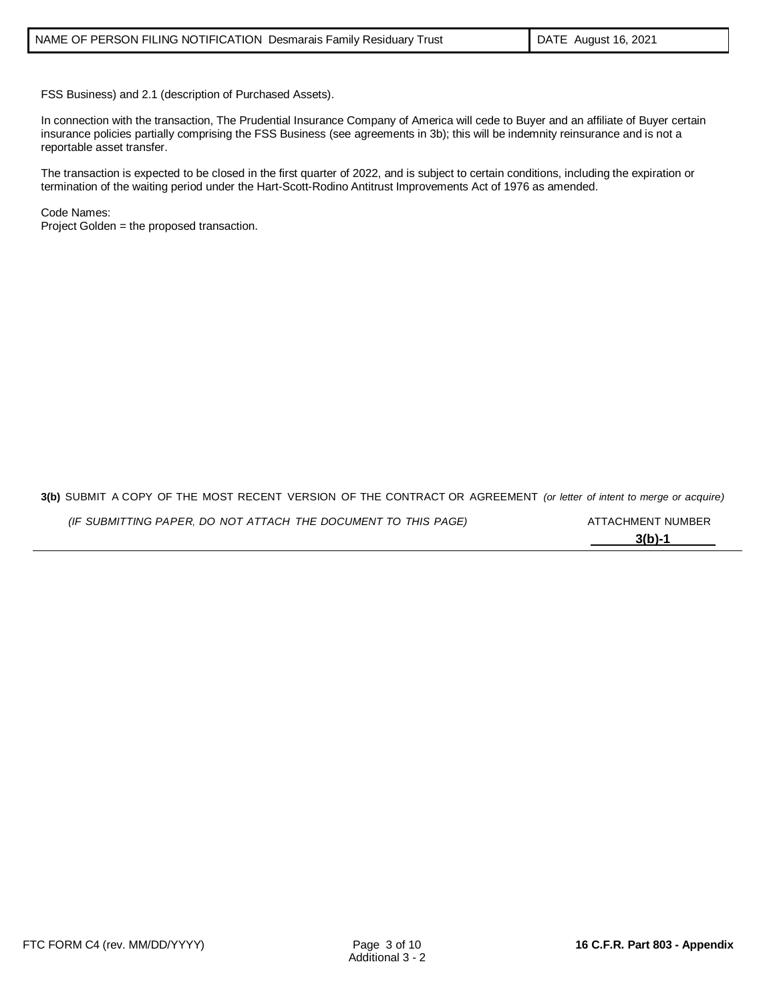FSS Business) and 2.1 (description of Purchased Assets).

In connection with the transaction, The Prudential Insurance Company of America will cede to Buyer and an affiliate of Buyer certain insurance policies partially comprising the FSS Business (see agreements in 3b); this will be indemnity reinsurance and is not a reportable asset transfer.

The transaction is expected to be closed in the first quarter of 2022, and is subject to certain conditions, including the expiration or termination of the waiting period under the Hart-Scott-Rodino Antitrust Improvements Act of 1976 as amended.

Code Names: Project Golden = the proposed transaction.

**3(b)** SUBMIT A COPY OF THE MOST RECENT VERSION OF THE CONTRACT OR AGREEMENT *(or letter of intent to merge or acquire)*

| (IF SUBMITTING PAPER, DO NOT ATTACH THE DOCUMENT TO THIS PAGE) | ATTACHMENT NUMBER |
|----------------------------------------------------------------|-------------------|
|                                                                | $3(b)-1$          |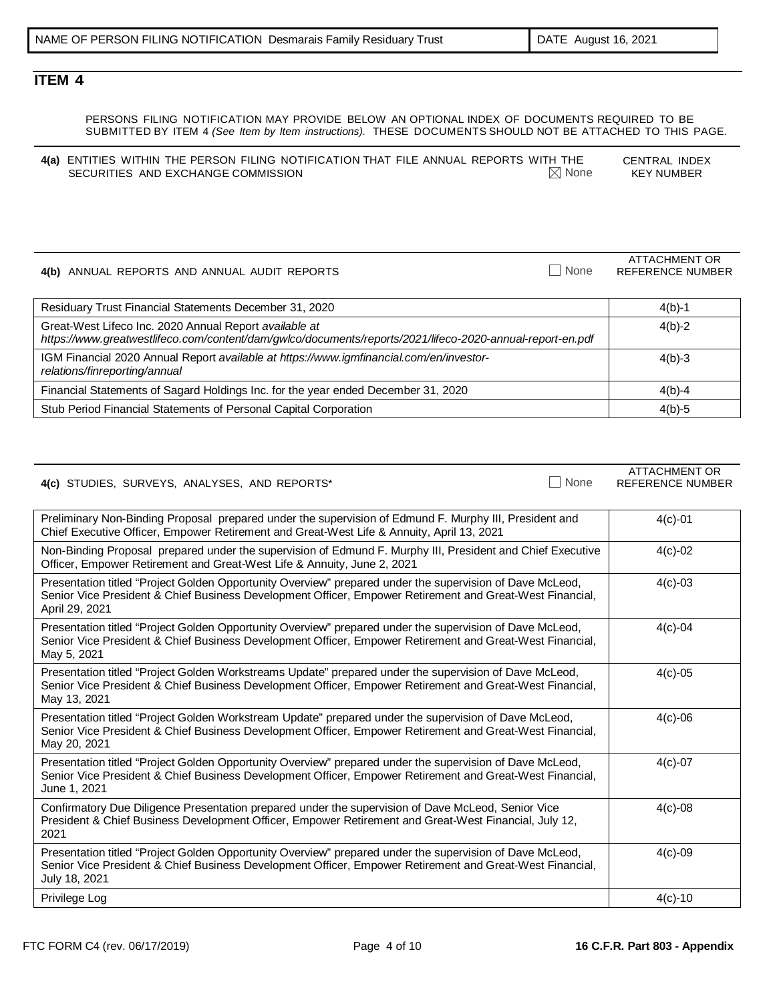ATTACHMENT OR

# **ITEM 4**

| PERSONS FILING NOTIFICATION MAY PROVIDE BELOW AN OPTIONAL INDEX OF DOCUMENTS REQUIRED TO BE               |  |
|-----------------------------------------------------------------------------------------------------------|--|
| SUBMITTED BY ITEM 4 (See Item by Item instructions). THESE DOCUMENTS SHOULD NOT BE ATTACHED TO THIS PAGE. |  |

| 4(a) ENTITIES WITHIN THE PERSON FILING NOTIFICATION THAT FILE ANNUAL REPORTS WITH THE |                  | CENTRAL INDEX     |
|---------------------------------------------------------------------------------------|------------------|-------------------|
| SECURITIES AND EXCHANGE COMMISSION                                                    | $\boxtimes$ None | <b>KEY NUMBER</b> |

**4(b)** ANNUAL REPORTS AND ANNUAL AUDIT REPORTS None REFERENCE NUMBER Residuary Trust Financial Statements December 31, 2020 4(b)-1 Great-West Lifeco Inc. 2020 Annual Report *available at https://www.greatwestlifeco.com/content/dam/gwlco/documents/reports/2021/lifeco-2020-annual-report-en.pdf* 4(b)-2 IGM Financial 2020 Annual Report *available at https://www.igmfinancial.com/en/investorrelations/finreporting/annual* 4(b)-3 Financial Statements of Sagard Holdings Inc. for the year ended December 31, 2020 4(b)-4 Stub Period Financial Statements of Personal Capital Corporation **Access 10 and 2001** 4(b)-5

| 4(c) STUDIES, SURVEYS, ANALYSES, AND REPORTS* | <b>None</b> | ATTACHMENT OR<br>REFERENCE NUMBER |
|-----------------------------------------------|-------------|-----------------------------------|

| Preliminary Non-Binding Proposal prepared under the supervision of Edmund F. Murphy III, President and<br>Chief Executive Officer, Empower Retirement and Great-West Life & Annuity, April 13, 2021                                    | $4(c)-01$   |
|----------------------------------------------------------------------------------------------------------------------------------------------------------------------------------------------------------------------------------------|-------------|
| Non-Binding Proposal prepared under the supervision of Edmund F. Murphy III, President and Chief Executive<br>Officer, Empower Retirement and Great-West Life & Annuity, June 2, 2021                                                  | $4(c)-02$   |
| Presentation titled "Project Golden Opportunity Overview" prepared under the supervision of Dave McLeod,<br>Senior Vice President & Chief Business Development Officer, Empower Retirement and Great-West Financial,<br>April 29, 2021 | $4(c) - 03$ |
| Presentation titled "Project Golden Opportunity Overview" prepared under the supervision of Dave McLeod,<br>Senior Vice President & Chief Business Development Officer, Empower Retirement and Great-West Financial,<br>May 5, 2021    | $4(c)-04$   |
| Presentation titled "Project Golden Workstreams Update" prepared under the supervision of Dave McLeod,<br>Senior Vice President & Chief Business Development Officer, Empower Retirement and Great-West Financial,<br>May 13, 2021     | $4(c) - 05$ |
| Presentation titled "Project Golden Workstream Update" prepared under the supervision of Dave McLeod,<br>Senior Vice President & Chief Business Development Officer, Empower Retirement and Great-West Financial,<br>May 20, 2021      | $4(c) - 06$ |
| Presentation titled "Project Golden Opportunity Overview" prepared under the supervision of Dave McLeod,<br>Senior Vice President & Chief Business Development Officer, Empower Retirement and Great-West Financial,<br>June 1, 2021   | $4(c)-07$   |
| Confirmatory Due Diligence Presentation prepared under the supervision of Dave McLeod, Senior Vice<br>President & Chief Business Development Officer, Empower Retirement and Great-West Financial, July 12,<br>2021                    | $4(c) - 08$ |
| Presentation titled "Project Golden Opportunity Overview" prepared under the supervision of Dave McLeod,<br>Senior Vice President & Chief Business Development Officer, Empower Retirement and Great-West Financial,<br>July 18, 2021  | $4(c) - 09$ |
| Privilege Log                                                                                                                                                                                                                          | $4(c) - 10$ |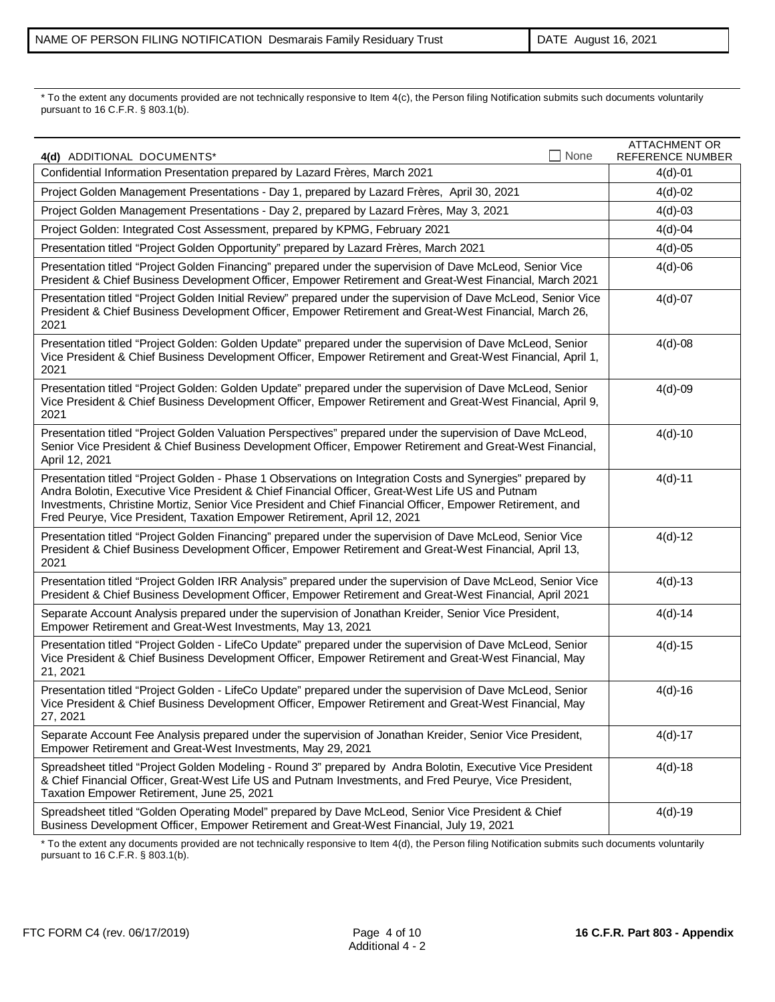\* To the extent any documents provided are not technically responsive to Item 4(c), the Person filing Notification submits such documents voluntarily pursuant to 16 C.F.R. § 803.1(b).

| None<br>4(d) ADDITIONAL DOCUMENTS*                                                                                                                                                                                                                                                                                                                                                                      | <b>ATTACHMENT OR</b><br>REFERENCE NUMBER |
|---------------------------------------------------------------------------------------------------------------------------------------------------------------------------------------------------------------------------------------------------------------------------------------------------------------------------------------------------------------------------------------------------------|------------------------------------------|
| Confidential Information Presentation prepared by Lazard Frères, March 2021                                                                                                                                                                                                                                                                                                                             | $4(d)-01$                                |
| Project Golden Management Presentations - Day 1, prepared by Lazard Frères, April 30, 2021                                                                                                                                                                                                                                                                                                              | $4(d)-02$                                |
| Project Golden Management Presentations - Day 2, prepared by Lazard Frères, May 3, 2021                                                                                                                                                                                                                                                                                                                 | $4(d)-03$                                |
| Project Golden: Integrated Cost Assessment, prepared by KPMG, February 2021                                                                                                                                                                                                                                                                                                                             | $4(d)-04$                                |
| Presentation titled "Project Golden Opportunity" prepared by Lazard Frères, March 2021                                                                                                                                                                                                                                                                                                                  | $4(d)-05$                                |
| Presentation titled "Project Golden Financing" prepared under the supervision of Dave McLeod, Senior Vice<br>President & Chief Business Development Officer, Empower Retirement and Great-West Financial, March 2021                                                                                                                                                                                    | $4(d) - 06$                              |
| Presentation titled "Project Golden Initial Review" prepared under the supervision of Dave McLeod, Senior Vice<br>President & Chief Business Development Officer, Empower Retirement and Great-West Financial, March 26,<br>2021                                                                                                                                                                        | $4(d)-07$                                |
| Presentation titled "Project Golden: Golden Update" prepared under the supervision of Dave McLeod, Senior<br>Vice President & Chief Business Development Officer, Empower Retirement and Great-West Financial, April 1,<br>2021                                                                                                                                                                         | $4(d)-08$                                |
| Presentation titled "Project Golden: Golden Update" prepared under the supervision of Dave McLeod, Senior<br>Vice President & Chief Business Development Officer, Empower Retirement and Great-West Financial, April 9,<br>2021                                                                                                                                                                         | $4(d)-09$                                |
| Presentation titled "Project Golden Valuation Perspectives" prepared under the supervision of Dave McLeod,<br>Senior Vice President & Chief Business Development Officer, Empower Retirement and Great-West Financial,<br>April 12, 2021                                                                                                                                                                | $4(d)-10$                                |
| Presentation titled "Project Golden - Phase 1 Observations on Integration Costs and Synergies" prepared by<br>Andra Bolotin, Executive Vice President & Chief Financial Officer, Great-West Life US and Putnam<br>Investments, Christine Mortiz, Senior Vice President and Chief Financial Officer, Empower Retirement, and<br>Fred Peurye, Vice President, Taxation Empower Retirement, April 12, 2021 | $4(d)-11$                                |
| Presentation titled "Project Golden Financing" prepared under the supervision of Dave McLeod, Senior Vice<br>President & Chief Business Development Officer, Empower Retirement and Great-West Financial, April 13,<br>2021                                                                                                                                                                             | $4(d)-12$                                |
| Presentation titled "Project Golden IRR Analysis" prepared under the supervision of Dave McLeod, Senior Vice<br>President & Chief Business Development Officer, Empower Retirement and Great-West Financial, April 2021                                                                                                                                                                                 | $4(d)-13$                                |
| Separate Account Analysis prepared under the supervision of Jonathan Kreider, Senior Vice President,<br>Empower Retirement and Great-West Investments, May 13, 2021                                                                                                                                                                                                                                     | $4(d)-14$                                |
| Presentation titled "Project Golden - LifeCo Update" prepared under the supervision of Dave McLeod, Senior<br>Vice President & Chief Business Development Officer, Empower Retirement and Great-West Financial, May<br>21, 2021                                                                                                                                                                         | $4(d)-15$                                |
| Presentation titled "Project Golden - LifeCo Update" prepared under the supervision of Dave McLeod, Senior<br>Vice President & Chief Business Development Officer, Empower Retirement and Great-West Financial, May<br>27, 2021                                                                                                                                                                         | $4(d) - 16$                              |
| Separate Account Fee Analysis prepared under the supervision of Jonathan Kreider, Senior Vice President,<br>Empower Retirement and Great-West Investments, May 29, 2021                                                                                                                                                                                                                                 | $4(d)-17$                                |
| Spreadsheet titled "Project Golden Modeling - Round 3" prepared by Andra Bolotin, Executive Vice President<br>& Chief Financial Officer, Great-West Life US and Putnam Investments, and Fred Peurye, Vice President,<br>Taxation Empower Retirement, June 25, 2021                                                                                                                                      | $4(d) - 18$                              |
| Spreadsheet titled "Golden Operating Model" prepared by Dave McLeod, Senior Vice President & Chief<br>Business Development Officer, Empower Retirement and Great-West Financial, July 19, 2021                                                                                                                                                                                                          | $4(d)-19$                                |

\* To the extent any documents provided are not technically responsive to Item 4(d), the Person filing Notification submits such documents voluntarily pursuant to 16 C.F.R. § 803.1(b).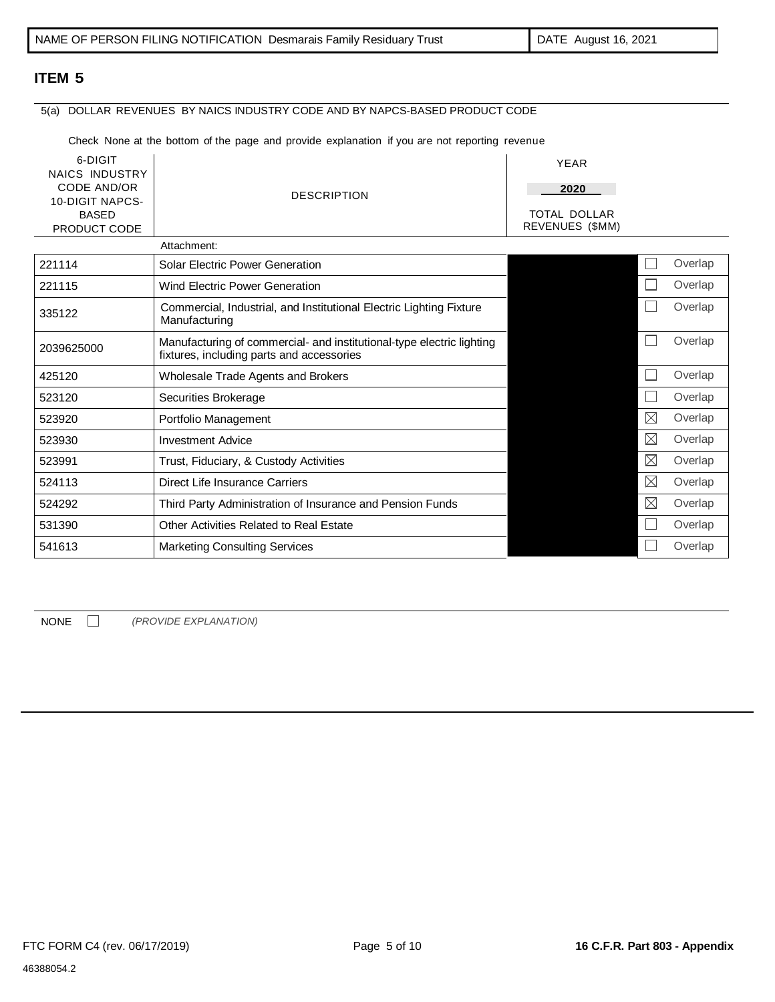# 5(a) DOLLAR REVENUES BY NAICS INDUSTRY CODE AND BY NAPCS-BASED PRODUCT CODE

Check None at the bottom of the page and provide explanation if you are not reporting revenue

| 6-DIGIT<br><b>NAICS INDUSTRY</b><br>CODE AND/OR<br><b>10-DIGIT NAPCS-</b><br><b>BASED</b><br>PRODUCT CODE | <b>DESCRIPTION</b>                                                                                                 | <b>YEAR</b><br>2020<br>TOTAL DOLLAR<br>REVENUES (\$MM) |             |         |
|-----------------------------------------------------------------------------------------------------------|--------------------------------------------------------------------------------------------------------------------|--------------------------------------------------------|-------------|---------|
|                                                                                                           | Attachment:                                                                                                        |                                                        |             |         |
| 221114                                                                                                    | <b>Solar Electric Power Generation</b>                                                                             |                                                        |             | Overlap |
| 221115                                                                                                    | Wind Electric Power Generation                                                                                     |                                                        |             | Overlap |
| 335122                                                                                                    | Commercial, Industrial, and Institutional Electric Lighting Fixture<br>Manufacturing                               |                                                        |             | Overlap |
| 2039625000                                                                                                | Manufacturing of commercial- and institutional-type electric lighting<br>fixtures, including parts and accessories |                                                        |             | Overlap |
| 425120                                                                                                    | Wholesale Trade Agents and Brokers                                                                                 |                                                        |             | Overlap |
| 523120                                                                                                    | Securities Brokerage                                                                                               |                                                        |             | Overlap |
| 523920                                                                                                    | Portfolio Management                                                                                               |                                                        | $\boxtimes$ | Overlap |
| 523930                                                                                                    | <b>Investment Advice</b>                                                                                           |                                                        | $\boxtimes$ | Overlap |
| 523991                                                                                                    | Trust, Fiduciary, & Custody Activities                                                                             |                                                        | $\boxtimes$ | Overlap |
| 524113                                                                                                    | Direct Life Insurance Carriers                                                                                     |                                                        | $\boxtimes$ | Overlap |
| 524292                                                                                                    | Third Party Administration of Insurance and Pension Funds                                                          |                                                        | $\boxtimes$ | Overlap |
| 531390                                                                                                    | Other Activities Related to Real Estate                                                                            |                                                        |             | Overlap |
| 541613                                                                                                    | <b>Marketing Consulting Services</b>                                                                               |                                                        |             | Overlap |

NONE *(PROVIDE EXPLANATION)*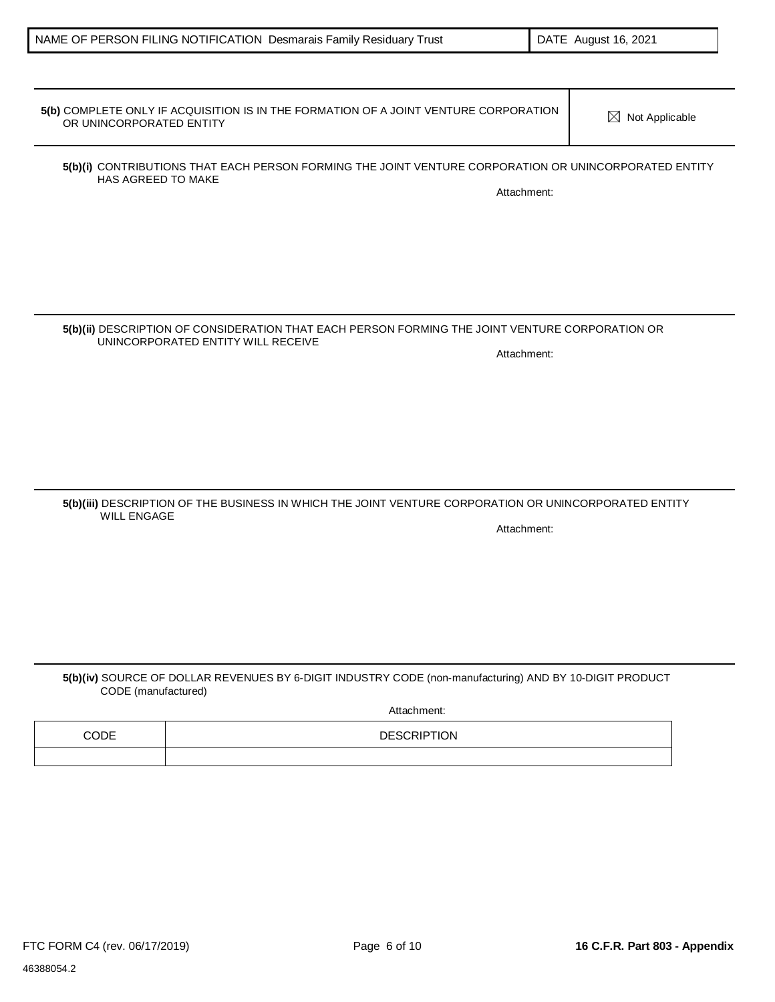HAS AGREED TO MAKE

**5(b)(i)** CONTRIBUTIONS THAT EACH PERSON FORMING THE JOINT VENTURE CORPORATION OR UNINCORPORATED ENTITY

**5(b)** COMPLETE ONLY IF ACQUISITION IS IN THE FORMATION OF A JOINT VENTURE CORPORATION  $\boxtimes$  Not Applicable<br>OR UNINCORPORATED ENTITY

### **5(b)(ii)** DESCRIPTION OF CONSIDERATION THAT EACH PERSON FORMING THE JOINT VENTURE CORPORATION OR UNINCORPORATED ENTITY WILL RECEIVE Attachment:

### **5(b)(iii)** DESCRIPTION OF THE BUSINESS IN WHICH THE JOINT VENTURE CORPORATION OR UNINCORPORATED ENTITY WILL ENGAGE Attachment:

## **5(b)(iv)** SOURCE OF DOLLAR REVENUES BY 6-DIGIT INDUSTRY CODE (non-manufacturing) AND BY 10-DIGIT PRODUCT CODE (manufactured)

Attachment:

| CODE | <b>DESCRIPTION</b> |
|------|--------------------|
|      |                    |

Attachment: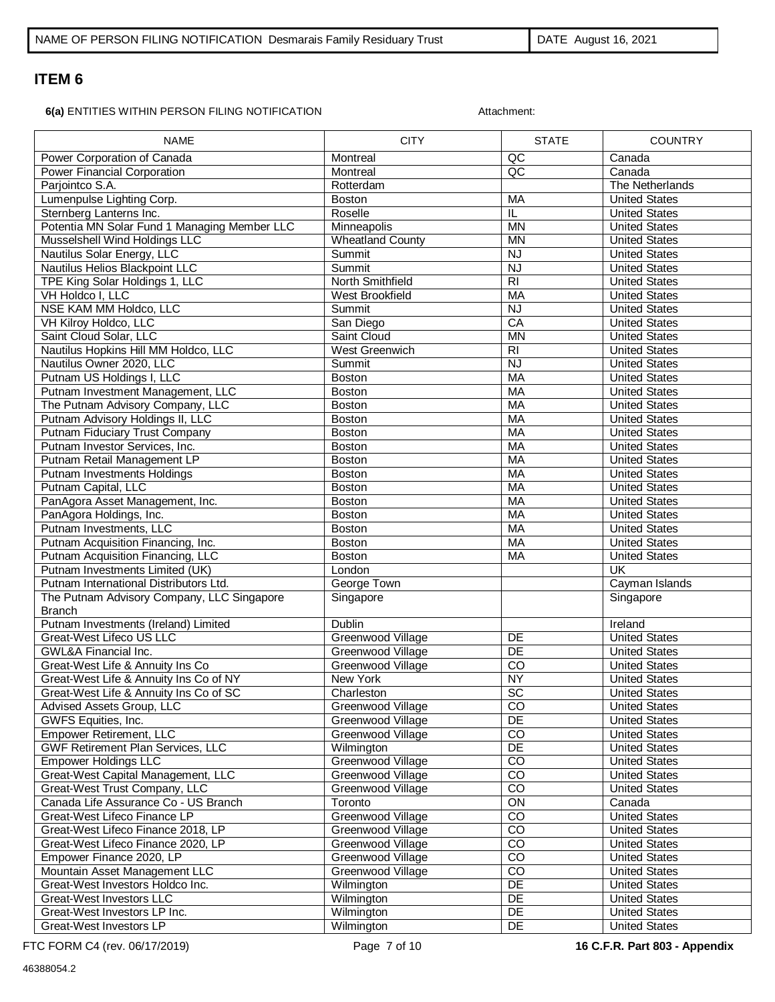Ē

**6(a)** ENTITIES WITHIN PERSON FILING NOTIFICATION **Attachment:** 

| <b>NAME</b>                                  | <b>CITY</b>             | <b>STATE</b>    | <b>COUNTRY</b>       |
|----------------------------------------------|-------------------------|-----------------|----------------------|
| Power Corporation of Canada                  | Montreal                | QC              | Canada               |
| Power Financial Corporation                  | Montreal                | $\overline{AC}$ | Canada               |
| Parjointco S.A.                              | Rotterdam               |                 | The Netherlands      |
| Lumenpulse Lighting Corp.                    | <b>Boston</b>           | MA              | <b>United States</b> |
| Sternberg Lanterns Inc.                      | Roselle                 | IL              | <b>United States</b> |
| Potentia MN Solar Fund 1 Managing Member LLC | Minneapolis             | <b>MN</b>       | <b>United States</b> |
| Musselshell Wind Holdings LLC                | <b>Wheatland County</b> | <b>MN</b>       | <b>United States</b> |
| Nautilus Solar Energy, LLC                   | Summit                  | $\overline{N}$  | <b>United States</b> |
| Nautilus Helios Blackpoint LLC               | Summit                  | NJ              | <b>United States</b> |
| TPE King Solar Holdings 1, LLC               | North Smithfield        | $\overline{R}$  | <b>United States</b> |
| VH Holdco I, LLC                             | West Brookfield         | <b>MA</b>       | <b>United States</b> |
| NSE KAM MM Holdco, LLC                       | Summit                  | <b>NJ</b>       | <b>United States</b> |
| VH Kilroy Holdco, LLC                        | San Diego               | CA              | <b>United States</b> |
| Saint Cloud Solar, LLC                       | Saint Cloud             | <b>MN</b>       | <b>United States</b> |
| Nautilus Hopkins Hill MM Holdco, LLC         | West Greenwich          | $\overline{R}$  | <b>United States</b> |
| Nautilus Owner 2020, LLC                     | Summit                  | <b>NJ</b>       | <b>United States</b> |
| Putnam US Holdings I, LLC                    | <b>Boston</b>           | <b>MA</b>       | <b>United States</b> |
| Putnam Investment Management, LLC            | <b>Boston</b>           | <b>MA</b>       | <b>United States</b> |
| The Putnam Advisory Company, LLC             | <b>Boston</b>           | MA              | <b>United States</b> |
| Putnam Advisory Holdings II, LLC             | Boston                  | <b>MA</b>       | <b>United States</b> |
| <b>Putnam Fiduciary Trust Company</b>        | <b>Boston</b>           | <b>MA</b>       | <b>United States</b> |
| Putnam Investor Services, Inc.               | <b>Boston</b>           | <b>MA</b>       | <b>United States</b> |
| Putnam Retail Management LP                  | <b>Boston</b>           | <b>MA</b>       | <b>United States</b> |
| <b>Putnam Investments Holdings</b>           | <b>Boston</b>           | MA              | <b>United States</b> |
| Putnam Capital, LLC                          | <b>Boston</b>           | MA              | <b>United States</b> |
| PanAgora Asset Management, Inc.              | <b>Boston</b>           | <b>MA</b>       | <b>United States</b> |
| PanAgora Holdings, Inc.                      | <b>Boston</b>           | <b>MA</b>       | <b>United States</b> |
| Putnam Investments, LLC                      | <b>Boston</b>           | <b>MA</b>       | <b>United States</b> |
| Putnam Acquisition Financing, Inc.           | <b>Boston</b>           | <b>MA</b>       | <b>United States</b> |
| Putnam Acquisition Financing, LLC            | Boston                  | MA              | <b>United States</b> |
| Putnam Investments Limited (UK)              | London                  |                 | UK                   |
| Putnam International Distributors Ltd.       | George Town             |                 | Cayman Islands       |
| The Putnam Advisory Company, LLC Singapore   | Singapore               |                 | Singapore            |
| <b>Branch</b>                                |                         |                 |                      |
| Putnam Investments (Ireland) Limited         | Dublin                  |                 | Ireland              |
| Great-West Lifeco US LLC                     | Greenwood Village       | DE              | <b>United States</b> |
| <b>GWL&amp;A Financial Inc.</b>              | Greenwood Village       | $\overline{DE}$ | <b>United States</b> |
| Great-West Life & Annuity Ins Co             | Greenwood Village       | $\overline{c}$  | <b>United States</b> |
| Great-West Life & Annuity Ins Co of NY       | <b>New York</b>         | <b>NY</b>       | <b>United States</b> |
| Great-West Life & Annuity Ins Co of SC       | Charleston              | $\overline{SC}$ | <b>United States</b> |
| Advised Assets Group, LLC                    | Greenwood Village       | CO.             | United States        |
| GWFS Equities, Inc.                          | Greenwood Village       | DE              | <b>United States</b> |
| Empower Retirement, LLC                      | Greenwood Village       | CO              | <b>United States</b> |
| GWF Retirement Plan Services, LLC            | Wilmington              | DE              | <b>United States</b> |
| <b>Empower Holdings LLC</b>                  | Greenwood Village       | CO              | <b>United States</b> |
| Great-West Capital Management, LLC           | Greenwood Village       | $\overline{co}$ | <b>United States</b> |
| Great-West Trust Company, LLC                | Greenwood Village       | $\overline{CO}$ | <b>United States</b> |
| Canada Life Assurance Co - US Branch         | Toronto                 | $\overline{ON}$ | Canada               |
| Great-West Lifeco Finance LP                 | Greenwood Village       | $\overline{co}$ | <b>United States</b> |
| Great-West Lifeco Finance 2018, LP           | Greenwood Village       | $\overline{c}$  | <b>United States</b> |
| Great-West Lifeco Finance 2020, LP           | Greenwood Village       | CO              | <b>United States</b> |
| Empower Finance 2020, LP                     | Greenwood Village       | CO              | <b>United States</b> |
| Mountain Asset Management LLC                | Greenwood Village       | $\overline{c}$  | <b>United States</b> |
| Great-West Investors Holdco Inc.             | Wilmington              | DE              | <b>United States</b> |
| Great-West Investors LLC                     | Wilmington              | DE              | <b>United States</b> |
| Great-West Investors LP Inc.                 | Wilmington              | <b>DE</b>       | <b>United States</b> |
| Great-West Investors LP                      | Wilmington              | DE              | <b>United States</b> |

FTC FORM C4 (rev. 06/17/2019) Page 7 of 10 **16 C.F.R. Part 803 - Appendix**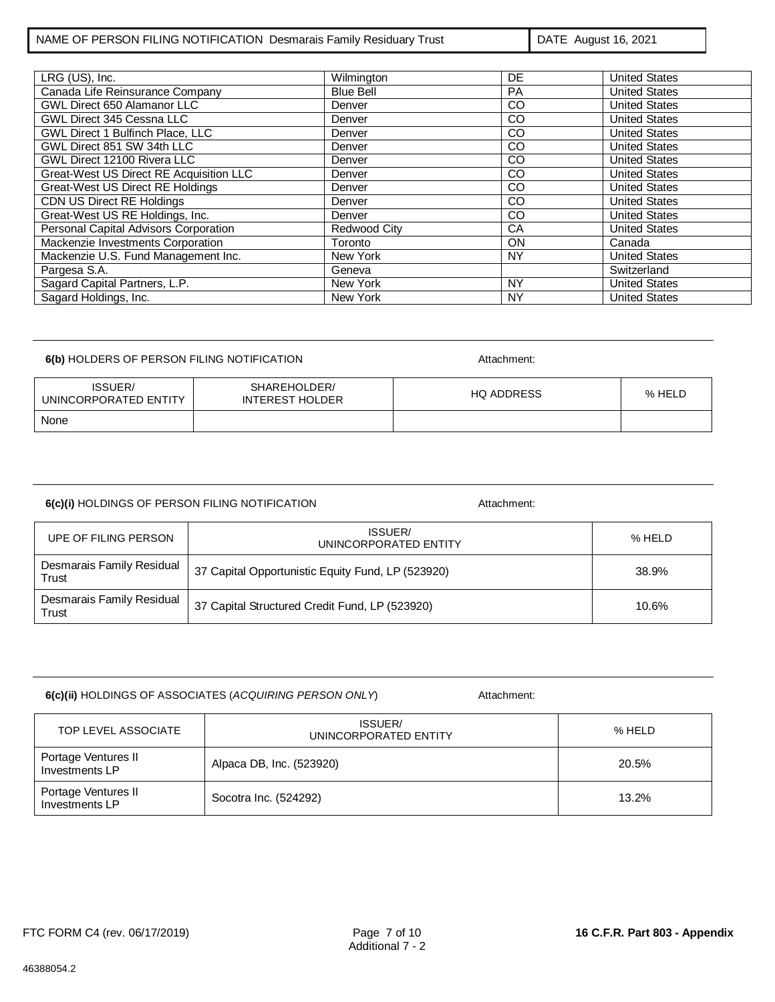LRG (US), Inc. Wilmington DE United States Canada Life Reinsurance Company Blue Bell PA | United States<br>
CO | United States<br>
PA | United States GWL Direct 650 Alamanor LLC Denver Denver CO United States<br>
GWL Direct 345 Cessna LLC Denver CO United States EXTERNAL Direct 345 Cessna LLC<br>
GWL Direct 1 Bulfinch Place, LLC<br>
CO United States GWL Direct 1 Bulfinch Place, LLC<br>
GWL Direct 851 SW 34th LLC<br>
Denver CO United States GWL Direct 851 SW 34th LLC Denver GWL Direct 12100 Rivera LLC<br>
Great-West US Direct RE Acquisition LLC<br>
Denver CO United States Co United States Creat-West US Direct RE Acquisition LLC Denver Denver CO United States<br>
Co United States Creat-West US Direct RE Holdings Denver Denver CO United States Great-West US Direct RE Holdings CDN US Direct RE Holdings<br>
Great-West US RE Holdings, Inc. 
Denver CO CO United States Great-West US RE Holdings, Inc. 
CO United States<br>
Personal Capital Advisors Corporation 
Redwood City
CA United States Personal Capital Advisors Corporation Redwood City CA Nackenzie Investments Corporation Toronto Toronto ON Mackenzie Investments Corporation Toronto ON Canada Mackenzie U.S. Fund Management Inc. New York New York NY NY United States<br>Pargesa S.A. Switzerland Pargesa S.A. Geneva Switzerland Sagard Capital Partners, L.P. New York New York NY NY United States Sagard Holdings, Inc. New York New York NY NY NY United States

### **6(b)** HOLDERS OF PERSON FILING NOTIFICATION **Attachment:**

ISSUER/ UNINCORPORATED ENTITY SHAREHOLDER/ INTEREST HOLDER HQ ADDRESS % HELD None

| 6(c)(i) HOLDINGS OF PERSON FILING NOTIFICATION | Attachment: |
|------------------------------------------------|-------------|

| UPE OF FILING PERSON               | ISSUER/<br>UNINCORPORATED ENTITY                  | % HELD |
|------------------------------------|---------------------------------------------------|--------|
| Desmarais Family Residual<br>Trust | 37 Capital Opportunistic Equity Fund, LP (523920) | 38.9%  |
| Desmarais Family Residual<br>Trust | 37 Capital Structured Credit Fund, LP (523920)    | 10.6%  |

| 6(c)(ii) HOLDINGS OF ASSOCIATES (ACQUIRING PERSON ONLY) | Attachment: |
|---------------------------------------------------------|-------------|
|                                                         |             |

TOP LEVEL ASSOCIATE UNINCORPORATED ENTITY **1999 11 12 SEPTEMBER 1999 12 SEPTEMBER 12 SEPTEMBER 12 SEPTEMBER** Portage Ventures II<br>Investments LP Alpaca DB, Inc. (523920) 20.5% Portage Ventures II<br>Investments LP  $I_{\text{Investments L}}$  and  $I_{\text{Socotra}}$  Socotra Inc. (524292) 13.2%

46388054.2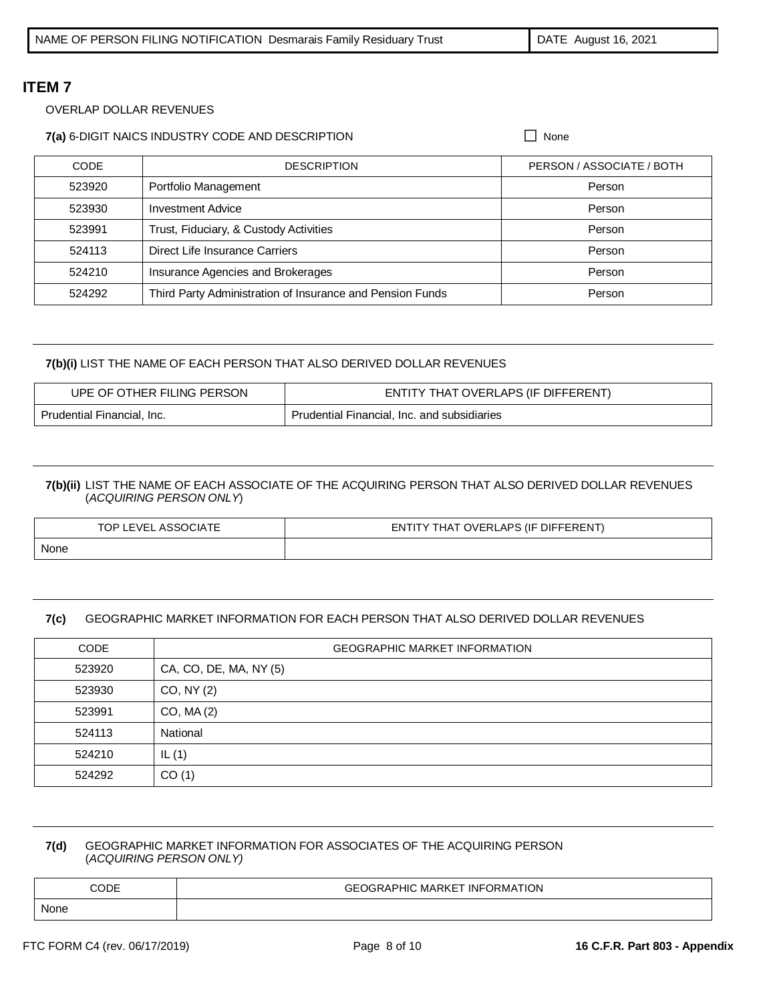### OVERLAP DOLLAR REVENUES

## **7(a)** 6-DIGIT NAICS INDUSTRY CODE AND DESCRIPTION  $\Box$  None

| <b>CODE</b> | <b>DESCRIPTION</b>                                        | PERSON / ASSOCIATE / BOTH |
|-------------|-----------------------------------------------------------|---------------------------|
| 523920      | Portfolio Management                                      | Person                    |
| 523930      | <b>Investment Advice</b>                                  | Person                    |
| 523991      | Trust, Fiduciary, & Custody Activities                    | Person                    |
| 524113      | Direct Life Insurance Carriers                            | Person                    |
| 524210      | Insurance Agencies and Brokerages                         | Person                    |
| 524292      | Third Party Administration of Insurance and Pension Funds | Person                    |

## **7(b)(i)** LIST THE NAME OF EACH PERSON THAT ALSO DERIVED DOLLAR REVENUES

| UPE OF OTHER FILING PERSON | ENTITY THAT OVERLAPS (IF DIFFERENT)         |
|----------------------------|---------------------------------------------|
| Prudential Financial, Inc. | Prudential Financial, Inc. and subsidiaries |

## **7(b)(ii)** LIST THE NAME OF EACH ASSOCIATE OF THE ACQUIRING PERSON THAT ALSO DERIVED DOLLAR REVENUES (*ACQUIRING PERSON ONLY*)

| TOP LEVEL ASSOCIATE | ENTITY THAT OVERLAPS (IF DIFFERENT) |
|---------------------|-------------------------------------|
| None                |                                     |

## **7(c)** GEOGRAPHIC MARKET INFORMATION FOR EACH PERSON THAT ALSO DERIVED DOLLAR REVENUES

| <b>CODE</b> | <b>GEOGRAPHIC MARKET INFORMATION</b> |
|-------------|--------------------------------------|
| 523920      | CA, CO, DE, MA, NY (5)               |
| 523930      | CO, NY (2)                           |
| 523991      | CO, MA(2)                            |
| 524113      | National                             |
| 524210      | IL $(1)$                             |
| 524292      | CO(1)                                |

### **7(d)** GEOGRAPHIC MARKET INFORMATION FOR ASSOCIATES OF THE ACQUIRING PERSON (*ACQUIRING PERSON ONLY)*

| CODE | <b>GEOGRAPHIC MARKET INFORMATION</b> |
|------|--------------------------------------|
| None |                                      |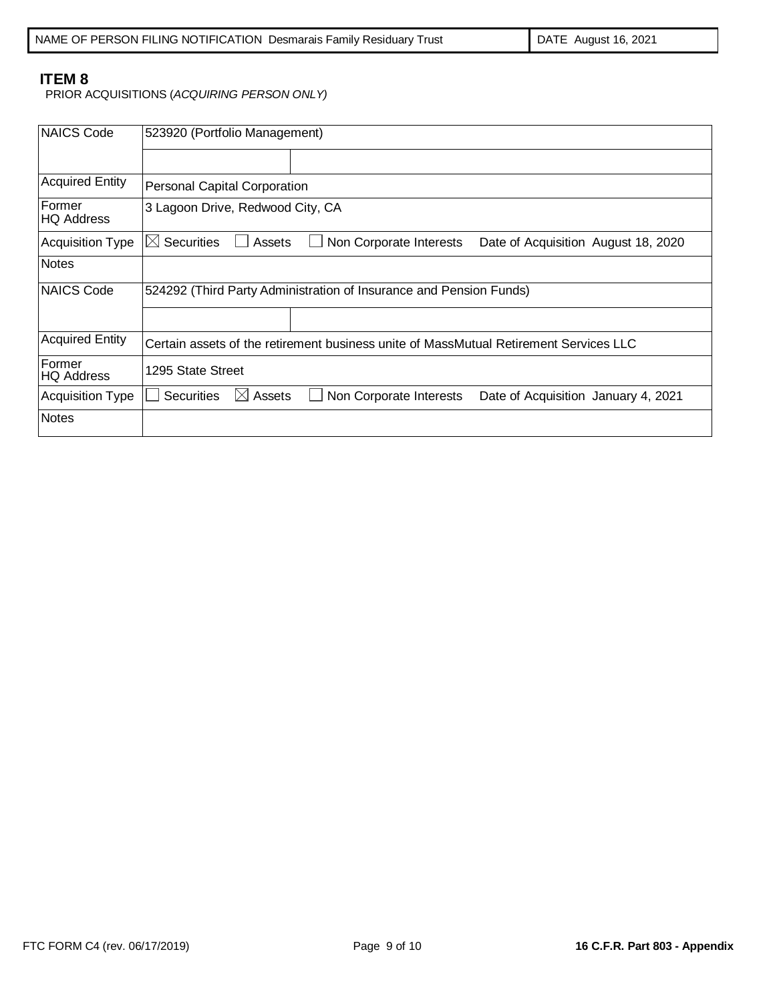PRIOR ACQUISITIONS (*ACQUIRING PERSON ONLY)*

| NAICS Code                  | 523920 (Portfolio Management)                                                                             |  |  |
|-----------------------------|-----------------------------------------------------------------------------------------------------------|--|--|
|                             |                                                                                                           |  |  |
| <b>Acquired Entity</b>      | <b>Personal Capital Corporation</b>                                                                       |  |  |
| Former<br><b>HQ Address</b> | 3 Lagoon Drive, Redwood City, CA                                                                          |  |  |
| <b>Acquisition Type</b>     | $\boxtimes$ Securities<br>Assets<br>Non Corporate Interests<br>Date of Acquisition August 18, 2020        |  |  |
| <b>Notes</b>                |                                                                                                           |  |  |
| NAICS Code                  | 524292 (Third Party Administration of Insurance and Pension Funds)                                        |  |  |
|                             |                                                                                                           |  |  |
| <b>Acquired Entity</b>      | Certain assets of the retirement business unite of MassMutual Retirement Services LLC                     |  |  |
| Former<br><b>HQ Address</b> | 1295 State Street                                                                                         |  |  |
| <b>Acquisition Type</b>     | $\boxtimes$ Assets<br><b>Securities</b><br>Non Corporate Interests<br>Date of Acquisition January 4, 2021 |  |  |
| <b>Notes</b>                |                                                                                                           |  |  |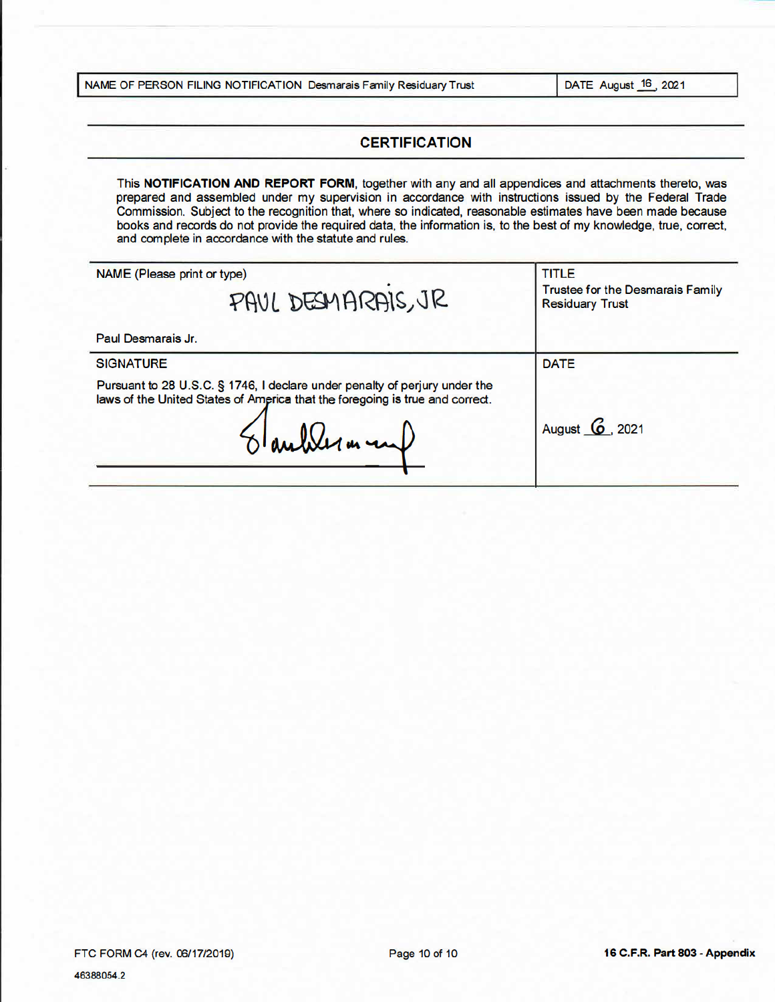|  |  | NAME OF PERSON FILING NOTIFICATION Desmarais Family Residuary Trust |  |  |  |
|--|--|---------------------------------------------------------------------|--|--|--|
|--|--|---------------------------------------------------------------------|--|--|--|

DATE August 16, 2021

# **CERTIFICATION**

This NOTIFICATION AND REPORT FORM, together with any and all appendices and attachments thereto, was prepared and assembled under my supervision in accordance with instructions issued by the Federal Trade Commission. Subject to the recognition that, where so indicated, reasonable estimates have been made because books and records do not provide the required data, the information is, to the best of my knowledge, true, correct, and complete in accordance with the statute and rules.

| NAME (Please print or type)<br>PAUL DESMARAIS, JR                                                                                                                                                | <b>TITLE</b><br><b>Trustee for the Desmarais Family</b><br><b>Residuary Trust</b> |  |
|--------------------------------------------------------------------------------------------------------------------------------------------------------------------------------------------------|-----------------------------------------------------------------------------------|--|
| Paul Desmarais Jr.                                                                                                                                                                               |                                                                                   |  |
| <b>SIGNATURE</b>                                                                                                                                                                                 | <b>DATE</b>                                                                       |  |
| Pursuant to 28 U.S.C. § 1746, I declare under penalty of perjury under the<br>laws of the United States of America that the foregoing is true and correct.<br>$\delta$ autoler m in $\downarrow$ | August <b>6</b> , 2021                                                            |  |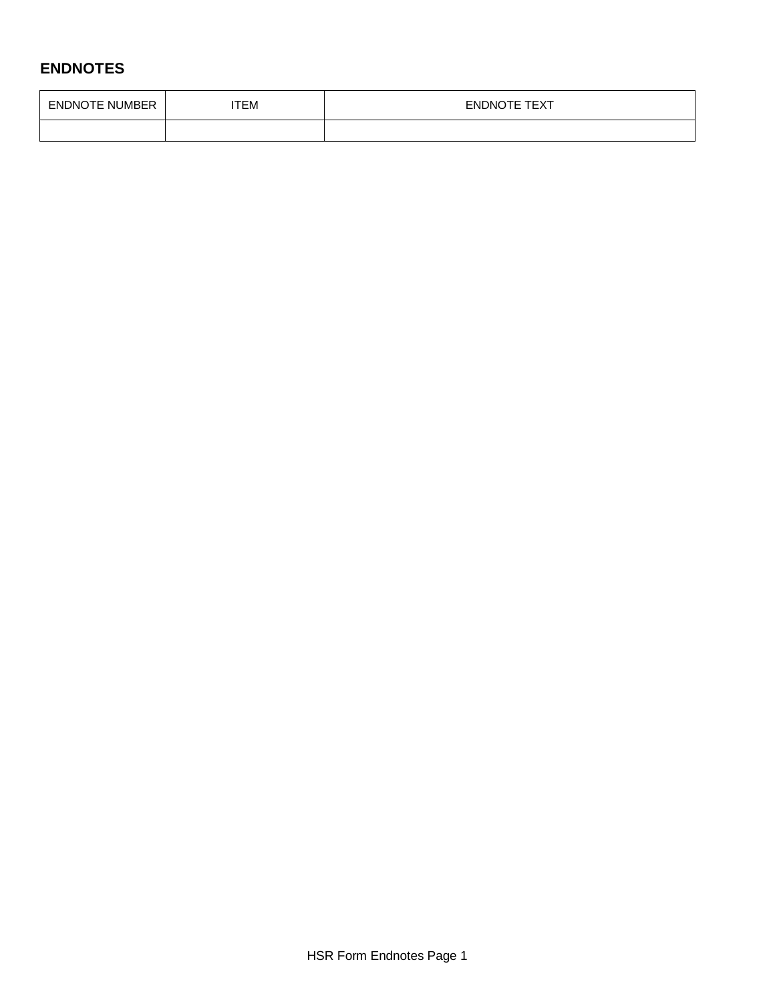# **ENDNOTES**

| <b>ENDNOTE NUMBER</b> | тЕМ | <b>ENDNOTE TEXT</b> |
|-----------------------|-----|---------------------|
|                       |     |                     |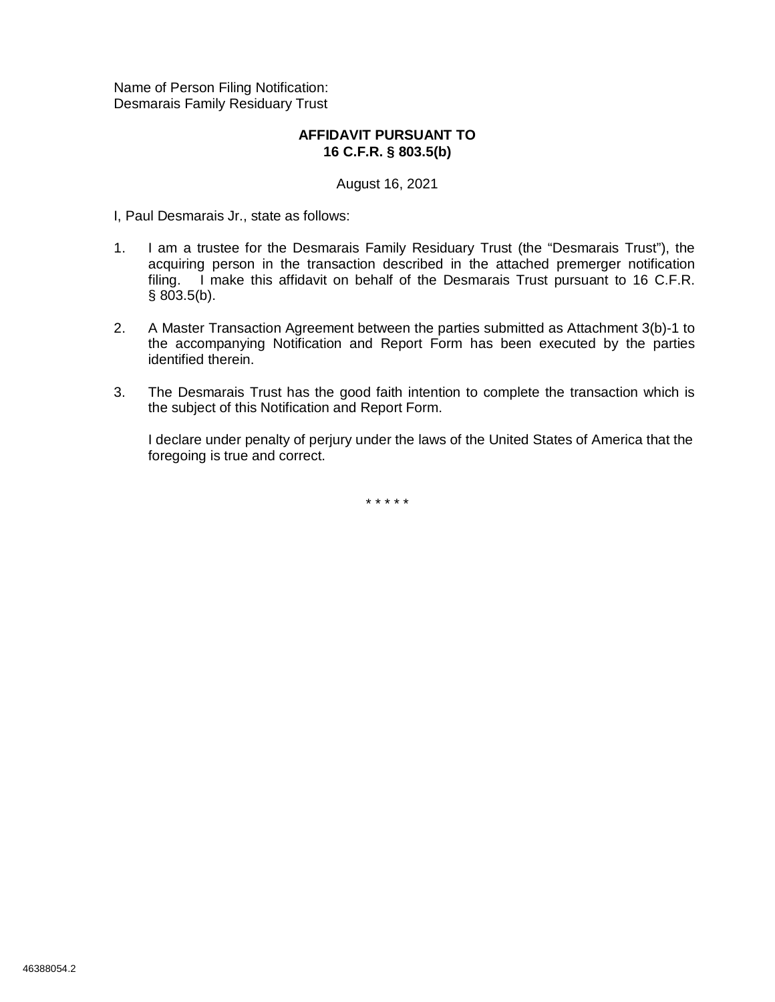Name of Person Filing Notification: Desmarais Family Residuary Trust

# **AFFIDAVIT PURSUANT TO 16 C.F.R. § 803.5(b)**

August 16, 2021

I, Paul Desmarais Jr., state as follows:

- 1. I am a trustee for the Desmarais Family Residuary Trust (the "Desmarais Trust"), the acquiring person in the transaction described in the attached premerger notification filing. I make this affidavit on behalf of the Desmarais Trust pursuant to 16 C.F.R. § 803.5(b).
- 2. A Master Transaction Agreement between the parties submitted as Attachment 3(b)-1 to the accompanying Notification and Report Form has been executed by the parties identified therein.
- 3. The Desmarais Trust has the good faith intention to complete the transaction which is the subject of this Notification and Report Form.

I declare under penalty of perjury under the laws of the United States of America that the foregoing is true and correct.

\* \* \* \* \*